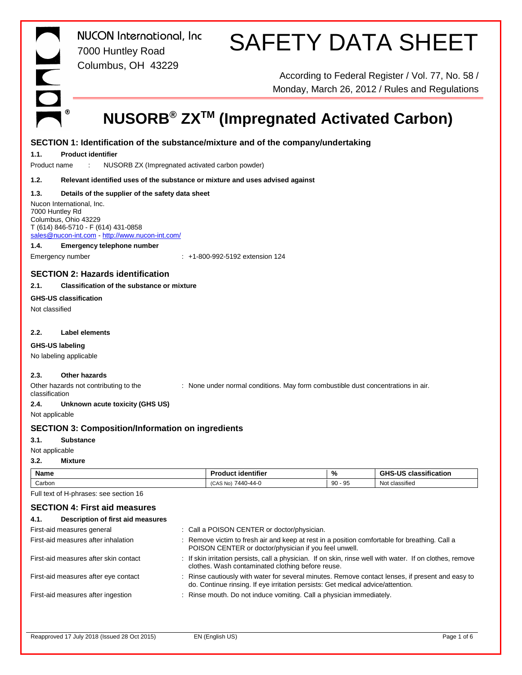*NUCON International, Inc* 7000 Huntley Road Columbus, OH 43229

# SAFETY DATA SHEET

According to Federal Register / Vol. 77, No. 58 / Monday, March 26, 2012 / Rules and Regulations

### **NUSORB® ZXTM (Impregnated Activated Carbon)**

|                 | SECTION 1: Identification of the substance/mixture and of the company/undertaking |  |                                                                                                                                                      |           |                                                                                                           |  |
|-----------------|-----------------------------------------------------------------------------------|--|------------------------------------------------------------------------------------------------------------------------------------------------------|-----------|-----------------------------------------------------------------------------------------------------------|--|
| 1.1.            | <b>Product identifier</b>                                                         |  |                                                                                                                                                      |           |                                                                                                           |  |
| Product name    | NUSORB ZX (Impregnated activated carbon powder)                                   |  |                                                                                                                                                      |           |                                                                                                           |  |
| 1.2.            | Relevant identified uses of the substance or mixture and uses advised against     |  |                                                                                                                                                      |           |                                                                                                           |  |
| 1.3.            | Details of the supplier of the safety data sheet                                  |  |                                                                                                                                                      |           |                                                                                                           |  |
|                 | Nucon International, Inc.                                                         |  |                                                                                                                                                      |           |                                                                                                           |  |
| 7000 Huntley Rd | Columbus, Ohio 43229                                                              |  |                                                                                                                                                      |           |                                                                                                           |  |
|                 | T (614) 846-5710 - F (614) 431-0858                                               |  |                                                                                                                                                      |           |                                                                                                           |  |
|                 | sales@nucon-int.com http://www.nucon-int.com/                                     |  |                                                                                                                                                      |           |                                                                                                           |  |
| 1.4.            | <b>Emergency telephone number</b>                                                 |  |                                                                                                                                                      |           |                                                                                                           |  |
|                 | Emergency number                                                                  |  | : +1-800-992-5192 extension 124                                                                                                                      |           |                                                                                                           |  |
|                 | <b>SECTION 2: Hazards identification</b>                                          |  |                                                                                                                                                      |           |                                                                                                           |  |
| 2.1.            | <b>Classification of the substance or mixture</b>                                 |  |                                                                                                                                                      |           |                                                                                                           |  |
|                 | <b>GHS-US classification</b>                                                      |  |                                                                                                                                                      |           |                                                                                                           |  |
| Not classified  |                                                                                   |  |                                                                                                                                                      |           |                                                                                                           |  |
|                 |                                                                                   |  |                                                                                                                                                      |           |                                                                                                           |  |
| 2.2.            | Label elements                                                                    |  |                                                                                                                                                      |           |                                                                                                           |  |
|                 | GHS-US labeling                                                                   |  |                                                                                                                                                      |           |                                                                                                           |  |
|                 | No labeling applicable                                                            |  |                                                                                                                                                      |           |                                                                                                           |  |
|                 |                                                                                   |  |                                                                                                                                                      |           |                                                                                                           |  |
| 2.3.            | Other hazards                                                                     |  |                                                                                                                                                      |           |                                                                                                           |  |
| classification  | Other hazards not contributing to the                                             |  | : None under normal conditions. May form combustible dust concentrations in air.                                                                     |           |                                                                                                           |  |
| 2.4.            | Unknown acute toxicity (GHS US)                                                   |  |                                                                                                                                                      |           |                                                                                                           |  |
| Not applicable  |                                                                                   |  |                                                                                                                                                      |           |                                                                                                           |  |
|                 | <b>SECTION 3: Composition/Information on ingredients</b>                          |  |                                                                                                                                                      |           |                                                                                                           |  |
| 3.1.            | <b>Substance</b>                                                                  |  |                                                                                                                                                      |           |                                                                                                           |  |
| Not applicable  |                                                                                   |  |                                                                                                                                                      |           |                                                                                                           |  |
| 3.2.            | <b>Mixture</b>                                                                    |  |                                                                                                                                                      |           |                                                                                                           |  |
| <b>Name</b>     |                                                                                   |  | <b>Product identifier</b>                                                                                                                            | %         | <b>GHS-US classification</b>                                                                              |  |
| Carbon          |                                                                                   |  | (CAS No) 7440-44-0                                                                                                                                   | $90 - 95$ | Not classified                                                                                            |  |
|                 | Full text of H-phrases: see section 16                                            |  |                                                                                                                                                      |           |                                                                                                           |  |
|                 | <b>SECTION 4: First aid measures</b>                                              |  |                                                                                                                                                      |           |                                                                                                           |  |
| 4.1.            | <b>Description of first aid measures</b>                                          |  |                                                                                                                                                      |           |                                                                                                           |  |
|                 | First-aid measures general                                                        |  | : Call a POISON CENTER or doctor/physician.                                                                                                          |           |                                                                                                           |  |
|                 | First-aid measures after inhalation                                               |  | Remove victim to fresh air and keep at rest in a position comfortable for breathing. Call a<br>POISON CENTER or doctor/physician if you feel unwell. |           |                                                                                                           |  |
|                 | First-aid measures after skin contact                                             |  | clothes. Wash contaminated clothing before reuse.                                                                                                    |           | : If skin irritation persists, call a physician. If on skin, rinse well with water. If on clothes, remove |  |
|                 | First-aid measures after eve contact                                              |  |                                                                                                                                                      |           | : Rinse cautiously with water for several minutes. Remove contact lenses, if present and easy to          |  |

| First-aid measures general            | : Call a POISON CENTER or doctor/physician.                                                                                                                                         |
|---------------------------------------|-------------------------------------------------------------------------------------------------------------------------------------------------------------------------------------|
| First-aid measures after inhalation   | : Remove victim to fresh air and keep at rest in a position comfortable for breathing. Call a<br>POISON CENTER or doctor/physician if you feel unwell.                              |
| First-aid measures after skin contact | : If skin irritation persists, call a physician. If on skin, rinse well with water. If on clothes, remove<br>clothes. Wash contaminated clothing before reuse.                      |
| First-aid measures after eye contact  | : Rinse cautiously with water for several minutes. Remove contact lenses, if present and easy to<br>do. Continue rinsing. If eye irritation persists: Get medical advice/attention. |
| First-aid measures after ingestion    | : Rinse mouth. Do not induce vomiting. Call a physician immediately.                                                                                                                |
|                                       |                                                                                                                                                                                     |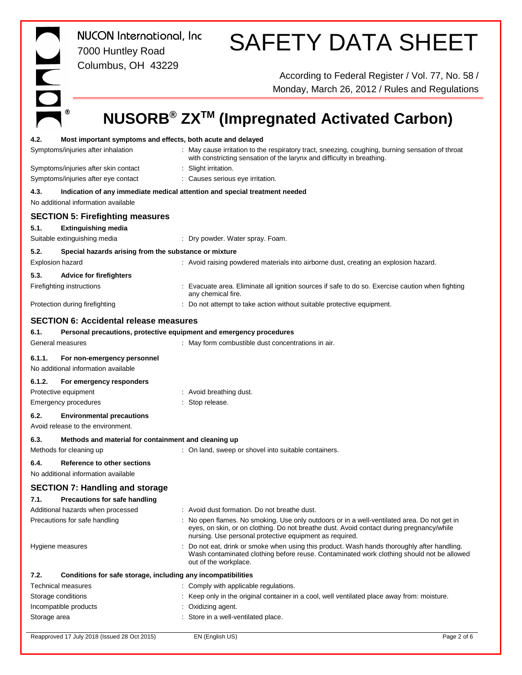|                                                                             | NUCON International, Inc.<br>7000 Huntley Road<br>Columbus, OH 43229  | <b>SAFETY DATA SHEET</b>                                                                                                                                                                                                                                                                         |
|-----------------------------------------------------------------------------|-----------------------------------------------------------------------|--------------------------------------------------------------------------------------------------------------------------------------------------------------------------------------------------------------------------------------------------------------------------------------------------|
|                                                                             |                                                                       | According to Federal Register / Vol. 77, No. 58 /<br>Monday, March 26, 2012 / Rules and Regulations                                                                                                                                                                                              |
| ⊛                                                                           |                                                                       | NUSORB <sup>®</sup> ZX <sup>™</sup> (Impregnated Activated Carbon)                                                                                                                                                                                                                               |
| 4.2.<br>Symptoms/injuries after inhalation                                  | Most important symptoms and effects, both acute and delayed           | May cause irritation to the respiratory tract, sneezing, coughing, burning sensation of throat<br>with constricting sensation of the larynx and difficulty in breathing.                                                                                                                         |
| Symptoms/injuries after skin contact<br>Symptoms/injuries after eye contact |                                                                       | : Slight irritation.<br>Causes serious eye irritation.                                                                                                                                                                                                                                           |
| 4.3.<br>No additional information available                                 |                                                                       | Indication of any immediate medical attention and special treatment needed                                                                                                                                                                                                                       |
| 5.1.                                                                        | <b>SECTION 5: Firefighting measures</b><br><b>Extinguishing media</b> |                                                                                                                                                                                                                                                                                                  |
| Suitable extinguishing media                                                |                                                                       | : Dry powder. Water spray. Foam.                                                                                                                                                                                                                                                                 |
| 5.2.<br><b>Explosion hazard</b>                                             | Special hazards arising from the substance or mixture                 | : Avoid raising powdered materials into airborne dust, creating an explosion hazard.                                                                                                                                                                                                             |
| 5.3.<br>Firefighting instructions                                           | <b>Advice for firefighters</b>                                        | Evacuate area. Eliminate all ignition sources if safe to do so. Exercise caution when fighting                                                                                                                                                                                                   |
| Protection during firefighting                                              |                                                                       | any chemical fire.<br>: Do not attempt to take action without suitable protective equipment.                                                                                                                                                                                                     |
|                                                                             | <b>SECTION 6: Accidental release measures</b>                         |                                                                                                                                                                                                                                                                                                  |
| 6.1.                                                                        |                                                                       | Personal precautions, protective equipment and emergency procedures                                                                                                                                                                                                                              |
| General measures                                                            |                                                                       | : May form combustible dust concentrations in air.                                                                                                                                                                                                                                               |
| 6.1.1.<br>No additional information available                               | For non-emergency personnel                                           |                                                                                                                                                                                                                                                                                                  |
| 6.1.2.<br>Protective equipment                                              | For emergency responders                                              | : Avoid breathing dust.                                                                                                                                                                                                                                                                          |
| <b>Emergency procedures</b>                                                 |                                                                       | : Stop release.                                                                                                                                                                                                                                                                                  |
| 6.2.<br>Avoid release to the environment.                                   | <b>Environmental precautions</b>                                      |                                                                                                                                                                                                                                                                                                  |
| 6.3.                                                                        | Methods and material for containment and cleaning up                  |                                                                                                                                                                                                                                                                                                  |
| Methods for cleaning up                                                     |                                                                       | : On land, sweep or shovel into suitable containers.                                                                                                                                                                                                                                             |
| 6.4.<br>No additional information available                                 | Reference to other sections                                           |                                                                                                                                                                                                                                                                                                  |
|                                                                             | <b>SECTION 7: Handling and storage</b>                                |                                                                                                                                                                                                                                                                                                  |
| 7.1.                                                                        | Precautions for safe handling                                         |                                                                                                                                                                                                                                                                                                  |
| Additional hazards when processed<br>Precautions for safe handling          |                                                                       | : Avoid dust formation. Do not breathe dust.<br>No open flames. No smoking. Use only outdoors or in a well-ventilated area. Do not get in<br>eyes, on skin, or on clothing. Do not breathe dust. Avoid contact during pregnancy/while<br>nursing. Use personal protective equipment as required. |
| Hygiene measures                                                            |                                                                       | Do not eat, drink or smoke when using this product. Wash hands thoroughly after handling.<br>Wash contaminated clothing before reuse. Contaminated work clothing should not be allowed<br>out of the workplace.                                                                                  |
| 7.2.                                                                        | Conditions for safe storage, including any incompatibilities          |                                                                                                                                                                                                                                                                                                  |
| Technical measures                                                          |                                                                       | : Comply with applicable regulations.                                                                                                                                                                                                                                                            |
| Storage conditions                                                          |                                                                       | Keep only in the original container in a cool, well ventilated place away from: moisture.                                                                                                                                                                                                        |
| Incompatible products<br>Storage area                                       |                                                                       | Oxidizing agent.<br>Store in a well-ventilated place.                                                                                                                                                                                                                                            |
|                                                                             |                                                                       |                                                                                                                                                                                                                                                                                                  |

Reapproved 17 July 2018 (Issued 28 Oct 2015) EN (English US) **EN** 2 of 6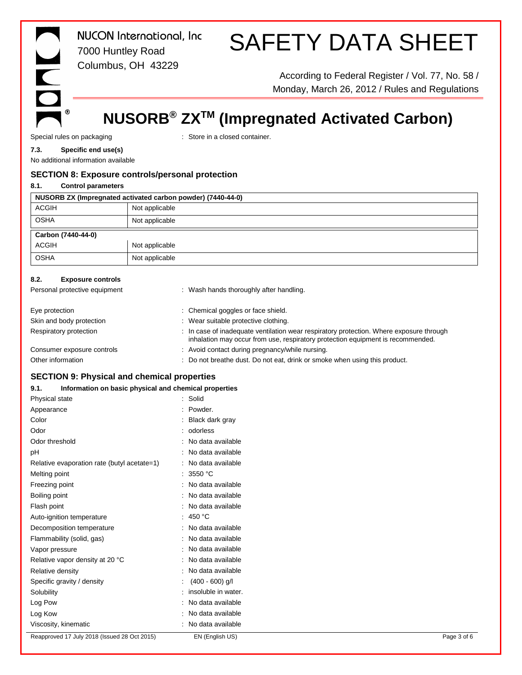# $\sqrt{2}$  $^\circledR$

*NUCON International, Inc* 7000 Huntley Road Columbus, OH 43229

# SAFETY DATA SHEET

According to Federal Register / Vol. 77, No. 58 / Monday, March 26, 2012 / Rules and Regulations

### **NUSORB® ZXTM (Impregnated Activated Carbon)**

Special rules on packaging **in the case of the container** in a closed container.

#### **7.3. Specific end use(s)**

No additional information available

#### **SECTION 8: Exposure controls/personal protection**

| 8.1.<br><b>Control parameters</b>                           |                                                                                                                                                                            |  |  |  |  |
|-------------------------------------------------------------|----------------------------------------------------------------------------------------------------------------------------------------------------------------------------|--|--|--|--|
| NUSORB ZX (Impregnated activated carbon powder) (7440-44-0) |                                                                                                                                                                            |  |  |  |  |
| <b>ACGIH</b>                                                | Not applicable                                                                                                                                                             |  |  |  |  |
| <b>OSHA</b>                                                 | Not applicable                                                                                                                                                             |  |  |  |  |
| Carbon (7440-44-0)                                          |                                                                                                                                                                            |  |  |  |  |
| <b>ACGIH</b>                                                | Not applicable                                                                                                                                                             |  |  |  |  |
| <b>OSHA</b>                                                 | Not applicable                                                                                                                                                             |  |  |  |  |
| 8.2.<br><b>Exposure controls</b>                            |                                                                                                                                                                            |  |  |  |  |
| Personal protective equipment                               | : Wash hands thoroughly after handling.                                                                                                                                    |  |  |  |  |
| Eye protection                                              | : Chemical goggles or face shield.                                                                                                                                         |  |  |  |  |
| Skin and body protection                                    | : Wear suitable protective clothing.                                                                                                                                       |  |  |  |  |
| Respiratory protection                                      | : In case of inadequate ventilation wear respiratory protection. Where exposure through<br>inhalation may occur from use, respiratory protection equipment is recommended. |  |  |  |  |
| Consumer exposure controls                                  | : Avoid contact during pregnancy/while nursing.                                                                                                                            |  |  |  |  |
| Other information                                           | Do not breathe dust. Do not eat, drink or smoke when using this product.                                                                                                   |  |  |  |  |

#### **SECTION 9: Physical and chemical properties**

**9.1. Information on basic physical and chemical properties**

| Physical state                               | : Solid               |  |
|----------------------------------------------|-----------------------|--|
| Appearance                                   | : Powder.             |  |
| Color                                        | : Black dark gray     |  |
| Odor                                         | : odorless            |  |
| Odor threshold                               | : No data available   |  |
| pH                                           | : No data available   |  |
| Relative evaporation rate (butyl acetate=1)  | : No data available   |  |
| Melting point                                | : 3550 °C             |  |
| Freezing point                               | : No data available   |  |
| Boiling point                                | : No data available   |  |
| Flash point                                  | : No data available   |  |
| Auto-ignition temperature                    | : 450 °C              |  |
| Decomposition temperature                    | : No data available   |  |
| Flammability (solid, gas)                    | : No data available   |  |
| Vapor pressure                               | : No data available   |  |
| Relative vapor density at 20 °C              | : No data available   |  |
| Relative density                             | : No data available   |  |
| Specific gravity / density                   | $(400 - 600)$ g/l     |  |
| Solubility                                   | : insoluble in water. |  |
| Log Pow                                      | : No data available   |  |
| Log Kow                                      | : No data available   |  |
| Viscosity, kinematic                         | : No data available   |  |
| Reapproved 17 July 2018 (Issued 28 Oct 2015) | EN (English US)       |  |
|                                              |                       |  |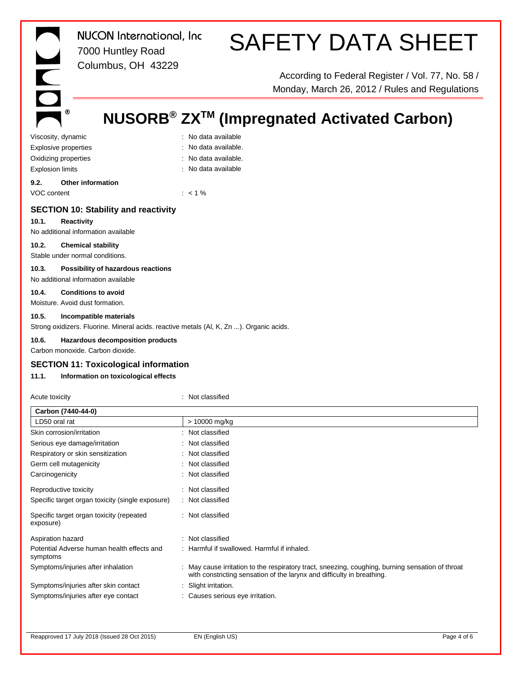$^{\circ}$ 

*NUCON International, Inc* 7000 Huntley Road Columbus, OH 43229

# SAFETY DATA SHEET

According to Federal Register / Vol. 77, No. 58 / Monday, March 26, 2012 / Rules and Regulations

### **NUSORB® ZXTM (Impregnated Activated Carbon)**

Viscosity, dynamic **intervalse and the Contract Contract Contract Contract Contract Contract Contract Contract Contract Contract Contract Contract Contract Contract Contract Contract Contract Contract Contract Contract Con** Explosive properties in the set of the set of the September 2011. No data available. Oxidizing properties **in the contract of the Contract August** 2011 : No data available. Explosion limits **Explosion** limits **in the set of the set of the set of the set of the set of the set of the set of the set of the set of the set of the set of the set of the set of the set of the set of the set of the se** 

**9.2. Other information** VOC content : < 1 %

#### **SECTION 10: Stability and reactivity**

#### **10.1. Reactivity**

No additional information available

#### **10.2. Chemical stability**

Stable under normal conditions.

#### **10.3. Possibility of hazardous reactions**

No additional information available

#### **10.4. Conditions to avoid**

Moisture. Avoid dust formation.

#### **10.5. Incompatible materials**

Strong oxidizers. Fluorine. Mineral acids. reactive metals (Al, K, Zn ...). Organic acids.

#### **10.6. Hazardous decomposition products**

Carbon monoxide. Carbon dioxide.

#### **SECTION 11: Toxicological information**

#### **11.1. Information on toxicological effects**

| Acute toxicity                                         | : Not classified                                                                                                                                                           |
|--------------------------------------------------------|----------------------------------------------------------------------------------------------------------------------------------------------------------------------------|
| Carbon (7440-44-0)                                     |                                                                                                                                                                            |
| LD50 oral rat                                          | > 10000 mg/kg                                                                                                                                                              |
| Skin corrosion/irritation                              | : Not classified                                                                                                                                                           |
| Serious eye damage/irritation                          | : Not classified                                                                                                                                                           |
| Respiratory or skin sensitization                      | : Not classified                                                                                                                                                           |
| Germ cell mutagenicity                                 | : Not classified                                                                                                                                                           |
| Carcinogenicity                                        | : Not classified                                                                                                                                                           |
| Reproductive toxicity                                  | : Not classified                                                                                                                                                           |
| Specific target organ toxicity (single exposure)       | : Not classified                                                                                                                                                           |
| Specific target organ toxicity (repeated<br>exposure)  | : Not classified                                                                                                                                                           |
| Aspiration hazard                                      | : Not classified                                                                                                                                                           |
| Potential Adverse human health effects and<br>symptoms | : Harmful if swallowed. Harmful if inhaled.                                                                                                                                |
| Symptoms/injuries after inhalation                     | : May cause irritation to the respiratory tract, sneezing, coughing, burning sensation of throat<br>with constricting sensation of the larynx and difficulty in breathing. |
| Symptoms/injuries after skin contact                   | Slight irritation.                                                                                                                                                         |
| Symptoms/injuries after eye contact                    | : Causes serious eye irritation.                                                                                                                                           |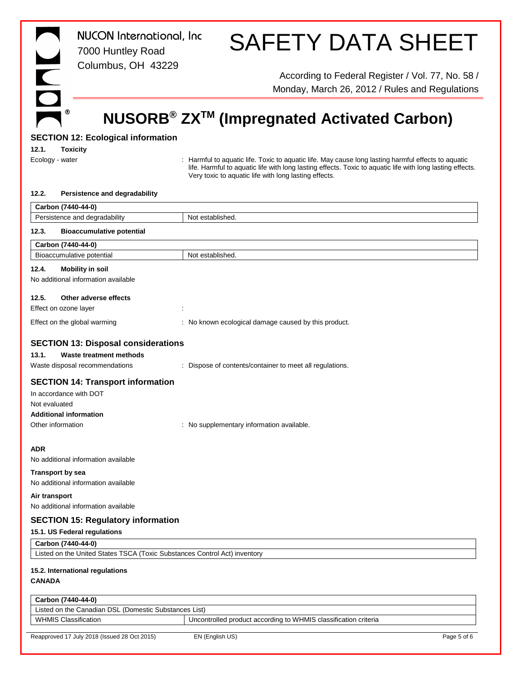| <b>State</b> |    |
|--------------|----|
|              |    |
|              |    |
|              | ľ, |
|              |    |

*NUCON International, Inc* 7000 Huntley Road Columbus, OH 43229

## SAFETY DATA SHEET

According to Federal Register / Vol. 77, No. 58 / Monday, March 26, 2012 / Rules and Regulations

### **NUSORB® ZXTM (Impregnated Activated Carbon)**

#### **SECTION 12: Ecological information**

**12.1. Toxicity**

Ecology - water **inter the act of the Cology** - water in the cology - water in the cology - water to aquatic life. Toxic to aquatic life. May cause long lasting harmful effects to aquatic life. Harmful to aquatic life with long lasting effects. Toxic to aquatic life with long lasting effects. Very toxic to aquatic life with long lasting effects.

#### **12.2. Persistence and degradability**

|                                                                           | Carbon (7440-44-0)                                                                                  |                                                                 |  |  |  |
|---------------------------------------------------------------------------|-----------------------------------------------------------------------------------------------------|-----------------------------------------------------------------|--|--|--|
|                                                                           | Persistence and degradability                                                                       | Not established.                                                |  |  |  |
| 12.3.                                                                     | <b>Bioaccumulative potential</b>                                                                    |                                                                 |  |  |  |
|                                                                           | Carbon (7440-44-0)                                                                                  |                                                                 |  |  |  |
|                                                                           | Bioaccumulative potential                                                                           | Not established.                                                |  |  |  |
| 12.4.                                                                     | <b>Mobility in soil</b><br>No additional information available                                      |                                                                 |  |  |  |
| 12.5.                                                                     | Other adverse effects                                                                               |                                                                 |  |  |  |
|                                                                           | Effect on ozone layer                                                                               |                                                                 |  |  |  |
|                                                                           | Effect on the global warming                                                                        | : No known ecological damage caused by this product.            |  |  |  |
|                                                                           | <b>SECTION 13: Disposal considerations</b>                                                          |                                                                 |  |  |  |
| 13.1.                                                                     | <b>Waste treatment methods</b>                                                                      |                                                                 |  |  |  |
|                                                                           | Waste disposal recommendations                                                                      | : Dispose of contents/container to meet all regulations.        |  |  |  |
| Not evaluated<br>Other information                                        | <b>SECTION 14: Transport information</b><br>In accordance with DOT<br><b>Additional information</b> | : No supplementary information available.                       |  |  |  |
| <b>ADR</b><br><b>Transport by sea</b>                                     | No additional information available<br>No additional information available                          |                                                                 |  |  |  |
| Air transport                                                             |                                                                                                     |                                                                 |  |  |  |
|                                                                           | No additional information available                                                                 |                                                                 |  |  |  |
| <b>SECTION 15: Regulatory information</b>                                 |                                                                                                     |                                                                 |  |  |  |
|                                                                           | 15.1. US Federal regulations                                                                        |                                                                 |  |  |  |
|                                                                           | Carbon (7440-44-0)                                                                                  |                                                                 |  |  |  |
| Listed on the United States TSCA (Toxic Substances Control Act) inventory |                                                                                                     |                                                                 |  |  |  |
| <b>CANADA</b>                                                             | 15.2. International regulations                                                                     |                                                                 |  |  |  |
|                                                                           | Carbon (7440-44-0)                                                                                  |                                                                 |  |  |  |
|                                                                           | Listed on the Canadian DSL (Domestic Substances List)                                               |                                                                 |  |  |  |
|                                                                           | <b>WHMIS Classification</b>                                                                         | Uncontrolled product according to WHMIS classification criteria |  |  |  |
|                                                                           | Reapproved 17 July 2018 (Issued 28 Oct 2015)                                                        | EN (English US)<br>Page 5 of 6                                  |  |  |  |